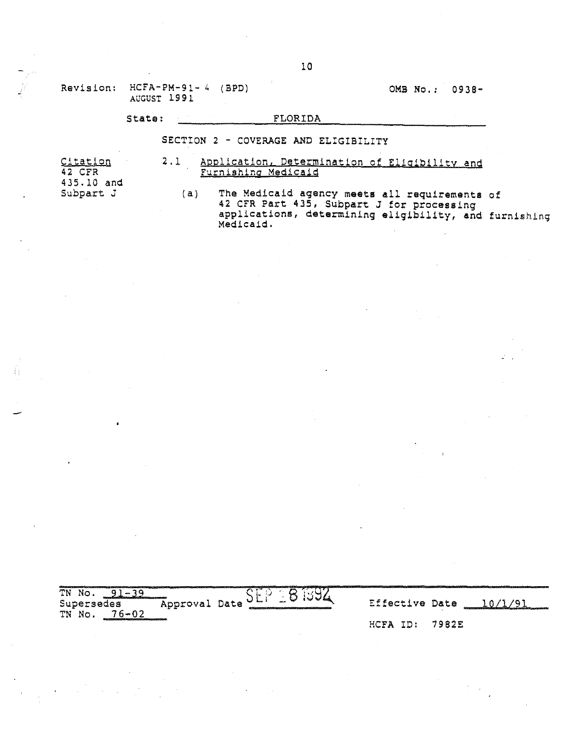Revision: HCFA-PM-91- 4 (BPD) AUGUST 1991

OMB No.: 0938-

### State: FLORIDA

### SECTION 2 - COVERAGE AND ELIGIBILITY

Citation 42 CFR 435.10 and Subpart J

- 2.1 Application, Determination of Eligibility and Furnishing Medicaid
	- (a) The Medicaid agency meets all requirements of 42 CFR Part 435, SUbpart J for processing applications, determining eligibility, and furnishing Medicaid.

TN No. 91-39 Supersedes TN No. 76-02

Approval Date SEP 381394 Effective Date 10/1/91 HCFA ID: 7982E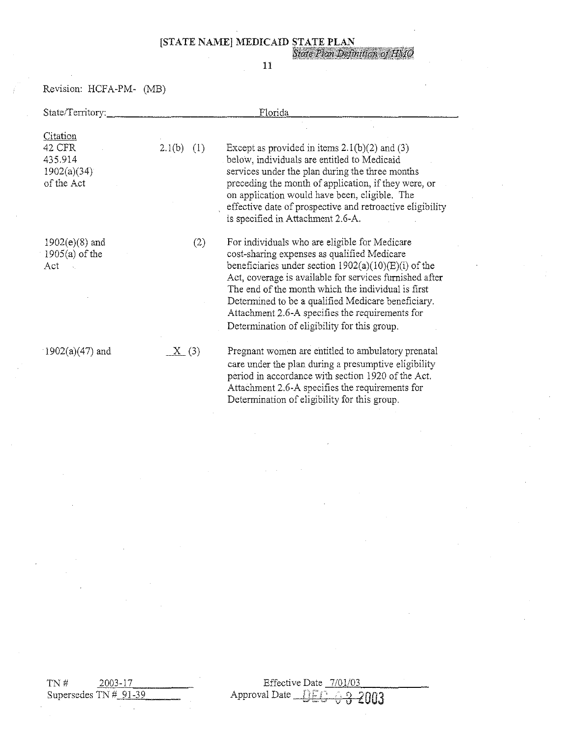[STATE NAME] MEDICAID STATE PLAN<br>State Plan Definition of HMO

### 11

Revision: HCPA-PM- (MB)

| State/Territory:                                                  | Florida             |                                                                                                                                                                                                                                                                                                                                                                                                                                  |  |  |
|-------------------------------------------------------------------|---------------------|----------------------------------------------------------------------------------------------------------------------------------------------------------------------------------------------------------------------------------------------------------------------------------------------------------------------------------------------------------------------------------------------------------------------------------|--|--|
| <b>Citation</b><br>42 CFR<br>435.914<br>1902(a)(34)<br>of the Act | $2.1(b)$ (1)        | Except as provided in items $2.1(b)(2)$ and (3)<br>below, individuals are entitled to Medicaid<br>services under the plan during the three months<br>preceding the month of application, if they were, or<br>on application would have been, eligible. The<br>effective date of prospective and retroactive eligibility<br>is specified in Attachment 2.6-A.                                                                     |  |  |
| $1902(e)(8)$ and<br>$1905(a)$ of the<br>Act                       | (2)                 | For individuals who are eligible for Medicare<br>cost-sharing expenses as qualified Medicare<br>beneficiaries under section $1902(a)(10)(E)(i)$ of the<br>Act, coverage is available for services furnished after<br>The end of the month which the individual is first<br>Determined to be a qualified Medicare beneficiary.<br>Attachment 2.6-A specifies the requirements for<br>Determination of eligibility for this group. |  |  |
| $1902(a)(47)$ and                                                 | $\underline{X}$ (3) | Pregnant women are entitled to ambulatory prenatal<br>care under the plan during a presumptive eligibility<br>period in accordance with section 1920 of the Act.<br>Attachment 2.6-A specifies the requirements for<br>Determination of eligibility for this group.                                                                                                                                                              |  |  |

 $TN#$  2003-17 Supersedes TN  $#_{91-39}$ 

Effective Date <u>7/01/03</u> Approval Date iH:·" r' ,. r; 2003 0\_,,,", 'v **0**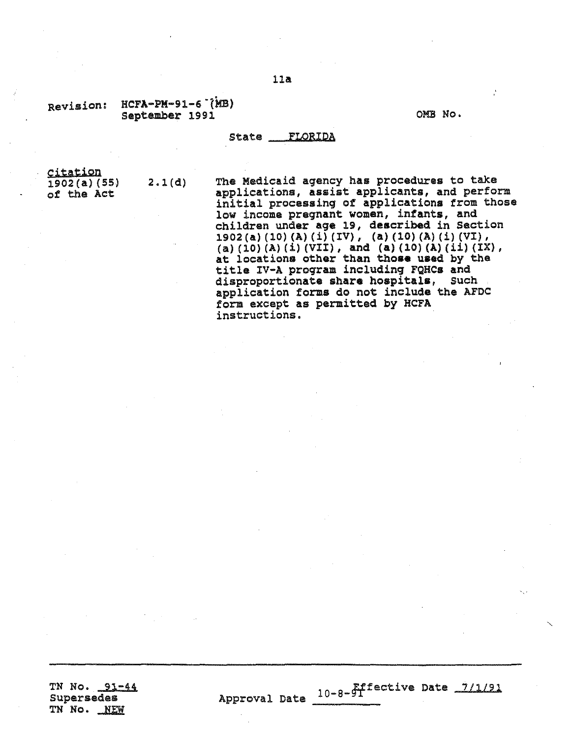### Revision: HCFA-PM-91-6<sup>-</sup>(MB) september 1991

OMB No.

Effective Date *7/1/91*

### state FLORIDA

Approval Date  $10-8-9T$ 

~itation 1902(a)(55) of the Act

2.1(d) The Medicaid agency has procedures to take<br>applications, assist applicants, and perform initial processing of applications from those low income pregnant women, infants, and children under age 19, described in Section 1902 (a) (10) (A) (i) (IV), (a) (10) (A) (i) (VI), (a) (10) (A) (1) (VII), and (a) (10) (A) (ii) (IX), at locations other than those used by the title IV-A program includinq FQHCs and disproportionate share hospitals, Such application forms do not include the AFDC form except as permitted by KCFA instructions.

TN No. 91-44 Supersedes TN No. NEW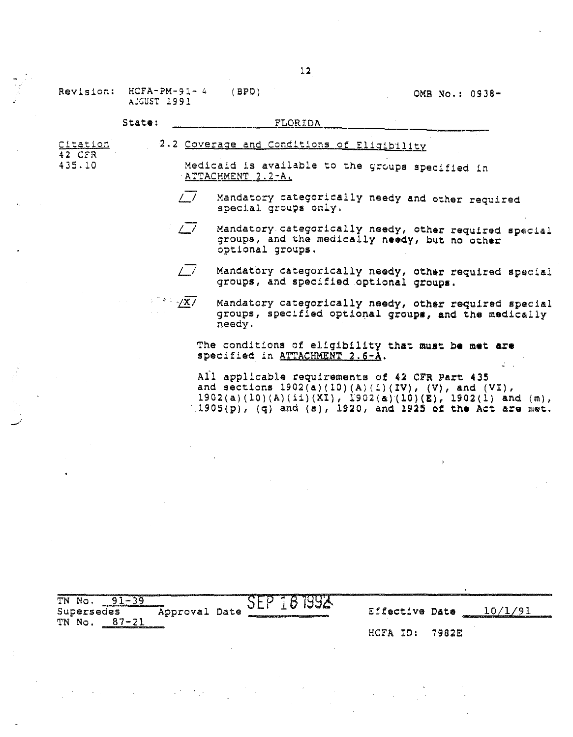### (BPD) OMS No.: 0938-

### State: FLORIDA

Citation 2.2 Coverage and Conditions of Eligibility<br>42 CFR<br>435.10 Medicaid is available to the groups sp Medicaid is available to the groups specified in ATTACHMENT 2.2-A.

- *L-/* Mandatory categorically needy and other required special groups only.
- *L-/* Mandatory categorically needy, other required special groups, and the medically needy, but no other optional groups.
	- Mandatory categorically needy, other required special groups, and specified optional groups.

 $\mathbb{R}^n \in \mathbb{R}$ Mandatory categorically needy, other required special groups, specified optional groups, and the medically needy.

The conditions of eligibility that must be met are specified in ATTACHMENT 2.6-A.

Ail applicable requirements of 42 CFR Part 435 and sections  $1902(a)(10)(A)(1)(IV)$ , (V), and (VI),  $1902(a)(10)(A)(11)(XL), 1902(a)(10)(E), 1902(1) and (m),$ 1905(p), (q) and (8), 1920, and 1925 of the Act are met.

TN No. 91-39 Supersedes TN No. 87-21  $\frac{SEP \text{ } 181992}{E$  Effective Date  $\frac{10/1/91}{E}$ HCFA ID: 7982E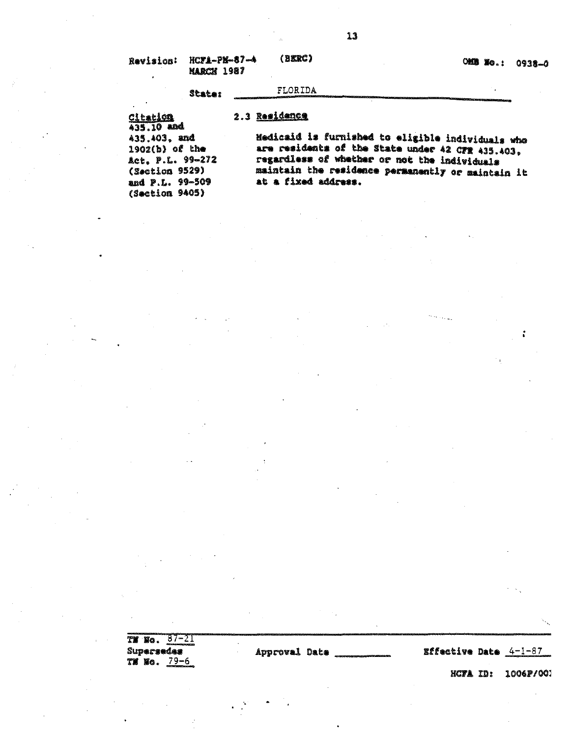| Revision: | hc <b>?1-</b> pN-87-4<br><b>MARCH 1987</b> | (derc)  | $OSEE$ | 0938 |
|-----------|--------------------------------------------|---------|--------|------|
|           | <b>State:</b>                              | FLORIDA |        |      |

# 2.3 Residence

**Citation**  $435.10$  and 435.403, and  $1902(b)$  of the Act, P.L. 99-272 (Section 9529) and P.L. 99-509 (Section 9405)

Medicaid is furnished to eligible individuals who are residents of the State under 42 CFR 435.403. regardless of whether or not the individuals maintain the residence permanently or maintain it at a fixed address.

| TE NO.     | $\sim$ 7 $\sim$ .                                 |               |  |                |                                                            |
|------------|---------------------------------------------------|---------------|--|----------------|------------------------------------------------------------|
| Supersedes | differences and continues are                     | Approval Date |  | Effective Date | 4-1-87                                                     |
| TH HO.     | 79–6<br><b>CONTRACT AT A TEST MANUFOLIO AND A</b> |               |  |                | designations in the state of the control of the control of |

HCFA ID: 1006P/001

ů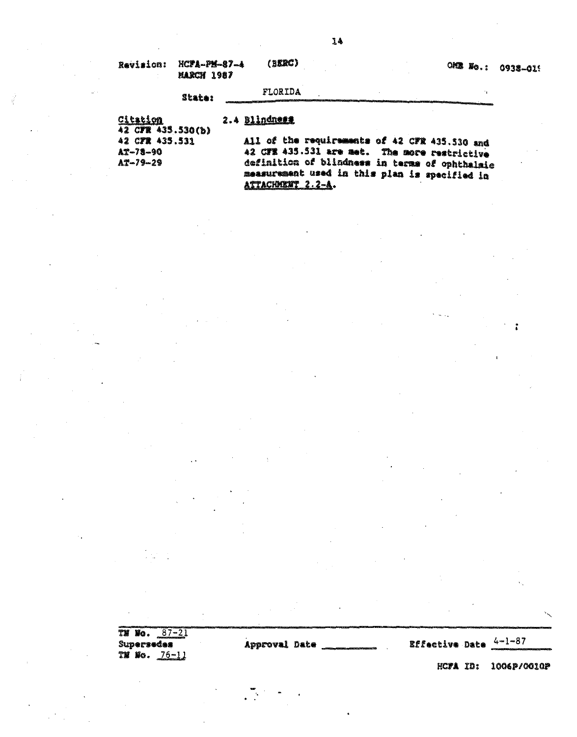| Revision: HCFA-PM-87-4<br><b>MARCH 1987</b> | (Berc)         |  | OMS No.: 0938-015 |  |
|---------------------------------------------|----------------|--|-------------------|--|
| Grahas                                      | <b>FLORIDA</b> |  |                   |  |

2.4 Blindness

Citation 42 CFR 435.530(b) 42 CFR 435.531  $A2 - 78 - 90$  $A3 - 79 - 29$ 

All of the requirements of 42 CFR 435.530 and 42 CFR 435.531 are met. The more restrictive definition of blindness in terms of ophthalmic measurement used in this plan is specified in ATTACHMENT 2.2-A.

TM Wo. 87-21 Supersedes **TH** No.  $76-11$ 

Approval Date

**Effective Date**  $\frac{4-1-87}{1}$ 

HCFA ID: 1006P/0010P

 $\overset{\bullet}{\bullet}$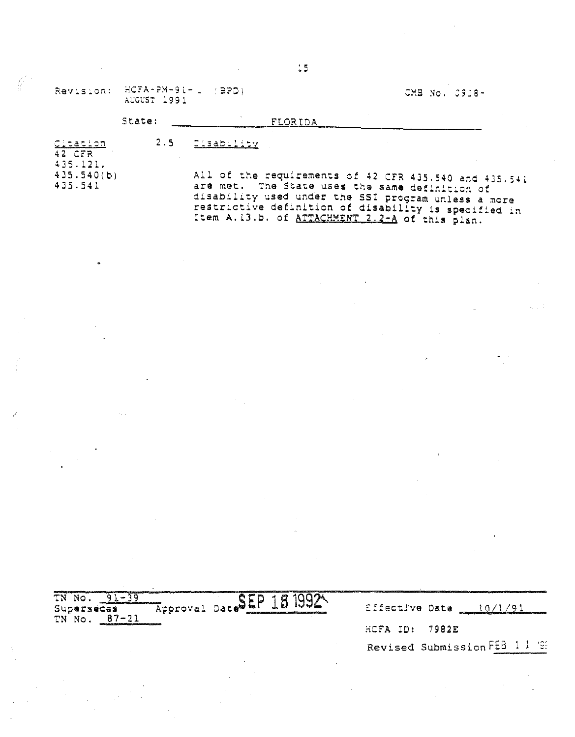|                                  |                                             | $\frac{15}{2}$                                                                                                                                                                                                                                                           |               |
|----------------------------------|---------------------------------------------|--------------------------------------------------------------------------------------------------------------------------------------------------------------------------------------------------------------------------------------------------------------------------|---------------|
|                                  | Revision: HCFA-PM-91-1 (BPD)<br>AUGUST 1991 |                                                                                                                                                                                                                                                                          | CMB No. 0938- |
|                                  | State:                                      | FLORIDA                                                                                                                                                                                                                                                                  |               |
| Citation<br>$42$ CFR<br>435.121. | 2.5                                         | C.sability                                                                                                                                                                                                                                                               |               |
| 435.540(b)<br>435.541            |                                             | All of the requirements of 42 CFR 435.540 and 435.541<br>are met. The State uses the same definition of<br>disability used under the SSI program unless a more<br>restrictive definition of disability is specified in<br>Item A.13.b. of ATTACHMENT 2.2-A of this plan. |               |

 $\label{eq:2.1} \mathcal{L}(\mathcal{L}^{\text{max}}_{\mathcal{L}}(\mathcal{L}^{\text{max}}_{\mathcal{L}})) \leq \mathcal{L}(\mathcal{L}^{\text{max}}_{\mathcal{L}}(\mathcal{L}^{\text{max}}_{\mathcal{L}})) \leq \mathcal{L}(\mathcal{L}^{\text{max}}_{\mathcal{L}}(\mathcal{L}^{\text{max}}_{\mathcal{L}}))$ 

 $\mathcal{L}^{\mathcal{L}}(\mathcal{L}^{\mathcal{L}})$  and  $\mathcal{L}^{\mathcal{L}}(\mathcal{L}^{\mathcal{L}})$  . The contribution of the contribution of  $\mathcal{L}^{\mathcal{L}}$ 

 $\mathbf{r}$ 

 $\label{eq:2.1} \frac{1}{2}\sum_{i=1}^n\frac{1}{2}\sum_{j=1}^n\frac{1}{2}\sum_{j=1}^n\frac{1}{2}\sum_{j=1}^n\frac{1}{2}\sum_{j=1}^n\frac{1}{2}\sum_{j=1}^n\frac{1}{2}\sum_{j=1}^n\frac{1}{2}\sum_{j=1}^n\frac{1}{2}\sum_{j=1}^n\frac{1}{2}\sum_{j=1}^n\frac{1}{2}\sum_{j=1}^n\frac{1}{2}\sum_{j=1}^n\frac{1}{2}\sum_{j=1}^n\frac{1}{2}\sum_{j=1}^n\$ 

| TN NO.<br>and contained and contained and contained<br>Approval Date<br>Supersedes<br>TN No. 87-21 | . 5 | Effective Date              |
|----------------------------------------------------------------------------------------------------|-----|-----------------------------|
|                                                                                                    |     | $HCFA$ ID: 7982E            |
|                                                                                                    |     | Revised Submission FEB 11 9 |
|                                                                                                    |     |                             |

 $\label{eq:2.1} \frac{d\mathbf{r}}{dt} = \frac{1}{2} \sum_{i=1}^n \frac{d\mathbf{r}}{dt} \left( \frac{d\mathbf{r}}{dt} \right) \left( \frac{d\mathbf{r}}{dt} \right) \left( \frac{d\mathbf{r}}{dt} \right) \left( \frac{d\mathbf{r}}{dt} \right) \left( \frac{d\mathbf{r}}{dt} \right) \left( \frac{d\mathbf{r}}{dt} \right) \left( \frac{d\mathbf{r}}{dt} \right) \left( \frac{d\mathbf{r}}{dt} \right) \left( \frac{d\mathbf{r}}{dt}$ 

 $\label{eq:2.1} \frac{1}{\sqrt{2}}\int_{\mathbb{R}^3}\frac{1}{\sqrt{2}}\left(\frac{1}{\sqrt{2}}\right)^2\frac{1}{\sqrt{2}}\left(\frac{1}{\sqrt{2}}\right)^2\frac{1}{\sqrt{2}}\left(\frac{1}{\sqrt{2}}\right)^2\frac{1}{\sqrt{2}}\left(\frac{1}{\sqrt{2}}\right)^2\frac{1}{\sqrt{2}}\left(\frac{1}{\sqrt{2}}\right)^2\frac{1}{\sqrt{2}}\frac{1}{\sqrt{2}}\frac{1}{\sqrt{2}}\frac{1}{\sqrt{2}}\frac{1}{\sqrt{2}}\frac{1}{\sqrt{2}}$ 

 $\label{eq:2.1} \frac{1}{\sqrt{2\pi}}\frac{1}{\sqrt{2\pi}}\frac{1}{\sqrt{2\pi}}\frac{1}{\sqrt{2\pi}}\frac{1}{\sqrt{2\pi}}\frac{1}{\sqrt{2\pi}}\frac{1}{\sqrt{2\pi}}\frac{1}{\sqrt{2\pi}}\frac{1}{\sqrt{2\pi}}\frac{1}{\sqrt{2\pi}}\frac{1}{\sqrt{2\pi}}\frac{1}{\sqrt{2\pi}}\frac{1}{\sqrt{2\pi}}\frac{1}{\sqrt{2\pi}}\frac{1}{\sqrt{2\pi}}\frac{1}{\sqrt{2\pi}}\frac{1}{\sqrt{2\pi}}\frac{1}{\sqrt$ 

 $\label{eq:2.1} \frac{1}{\sqrt{2\pi}}\sum_{i=1}^n\frac{1}{\sqrt{2\pi}}\sum_{i=1}^n\frac{1}{\sqrt{2\pi}}\sum_{i=1}^n\frac{1}{\sqrt{2\pi}}\sum_{i=1}^n\frac{1}{\sqrt{2\pi}}\sum_{i=1}^n\frac{1}{\sqrt{2\pi}}\sum_{i=1}^n\frac{1}{\sqrt{2\pi}}\sum_{i=1}^n\frac{1}{\sqrt{2\pi}}\sum_{i=1}^n\frac{1}{\sqrt{2\pi}}\sum_{i=1}^n\frac{1}{\sqrt{2\pi}}\sum_{i=1}^n\$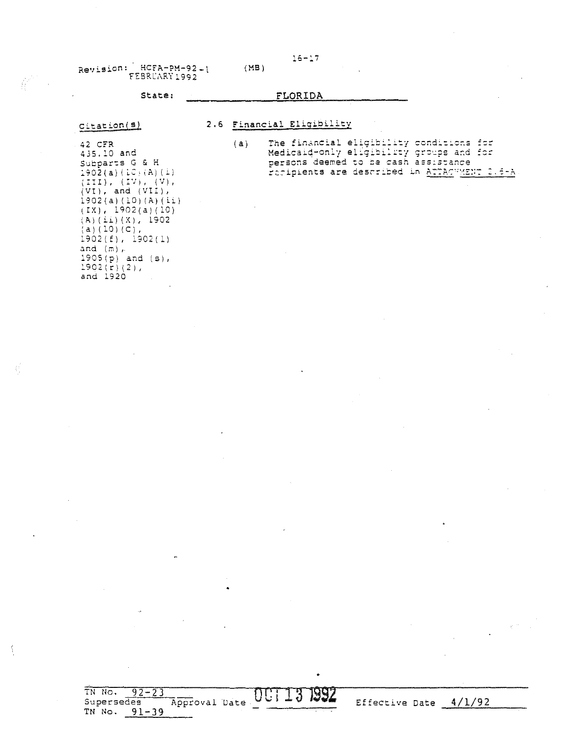### State: FLORIDA

 $(MB)$ 

## Citation(s)

### 2.6 Financial Eligibility

 $3\,$ 

UUI.

1992

Effective Date  $4/1/92$ 

42 CFR 435.10 and Subparts G & H  $190\bar{2}$  (a)  $(LC)$  (A) (i)  $(TII), (IV), (V), (V)$ ,<br>(VI), and (VII),  $1902(a) (10) (A) (ii)$  $(IX), 1902(a)(10)$  $(A)$   $(i)$   $(k)$ , 1902  $(a) (10) (c)$ ,  $1902(f), 1902(1)$ and  $(m)$ ,  $1905(p)$  and  $(s)$ ,  $1902(r)(2)$ , and 1920

The financial eligibility conditions for<br>Medicald-only eligibility groups and for<br>persons deemed to be cash assistance  $(a)$ Foripients are described in ATTACHMENT 2.6-A

TN No.  $92 - 23$ Supersedes Approval Date TN No.  $91-39$